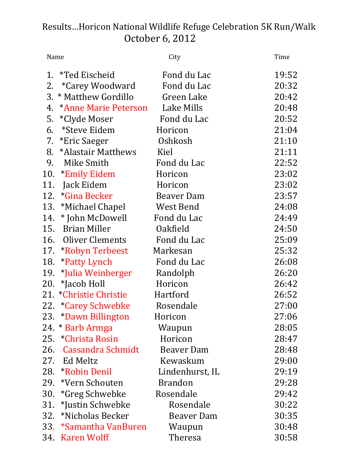## Results…Horicon National Wildlife Refuge Celebration 5K Run/Walk October 6, 2012

| Name |                         | City              | Time  |
|------|-------------------------|-------------------|-------|
|      | 1. *Ted Eischeid        | Fond du Lac       | 19:52 |
|      | 2. *Carey Woodward      | Fond du Lac       | 20:32 |
|      | 3. * Matthew Gordillo   | Green Lake        | 20:42 |
|      | 4. *Anne Marie Peterson | Lake Mills        | 20:48 |
|      | 5. *Clyde Moser         | Fond du Lac       | 20:52 |
| 6.   | *Steve Eidem            | Horicon           | 21:04 |
|      | 7. *Eric Saeger         | Oshkosh           | 21:10 |
|      | 8. *Alastair Matthews   | Kiel              | 21:11 |
|      | 9. Mike Smith           | Fond du Lac       | 22:52 |
|      | 10. *Emily Eidem        | Horicon           | 23:02 |
|      | 11. Jack Eidem          | Horicon           | 23:02 |
|      | 12. *Gina Becker        | Beaver Dam        | 23:57 |
|      | 13. *Michael Chapel     | West Bend         | 24:08 |
|      | 14. * John McDowell     | Fond du Lac       | 24:49 |
|      | 15. Brian Miller        | Oakfield          | 24:50 |
|      | 16. Oliver Clements     | Fond du Lac       | 25:09 |
|      | 17. *Robyn Terbeest     | Markesan          | 25:32 |
| 18.  | *Patty Lynch            | Fond du Lac       | 26:08 |
|      | 19. *Julia Weinberger   | Randolph          | 26:20 |
|      | 20. *Jacob Holl         | Horicon           | 26:42 |
|      | 21. *Christie Christie  | Hartford          | 26:52 |
|      | 22. *Carey Schwebke     | Rosendale         | 27:00 |
|      | 23. *Dawn Billington    | Horicon           | 27:06 |
|      | 24. * Barb Armga        | Waupun            | 28:05 |
|      | 25. *Christa Rosin      | Horicon           | 28:47 |
|      | 26. Cassandra Schmidt   | <b>Beaver Dam</b> | 28:48 |
|      | 27. Ed Meltz            | Kewaskum          | 29:00 |
|      | 28. *Robin Denil        | Lindenhurst, IL   | 29:19 |
|      | 29. *Vern Schouten      | <b>Brandon</b>    | 29:28 |
| 30.  | *Greg Schwebke          | Rosendale         | 29:42 |
|      | 31. *Justin Schwebke    | Rosendale         | 30:22 |
|      | 32. *Nicholas Becker    | Beaver Dam        | 30:35 |
|      | 33. *Samantha VanBuren  | Waupun            | 30:48 |
|      | 34. Karen Wolff         | <b>Theresa</b>    | 30:58 |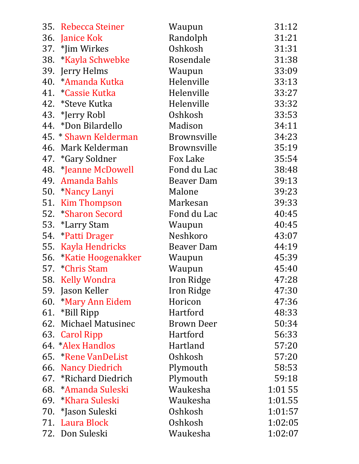| 35. Rebecca Steiner    | Waupun             | 31:12   |
|------------------------|--------------------|---------|
| 36. Janice Kok         | Randolph           | 31:21   |
| 37. *Jim Wirkes        | Oshkosh            | 31:31   |
| 38. *Kayla Schwebke    | Rosendale          | 31:38   |
| 39. Jerry Helms        | Waupun             | 33:09   |
| 40. * Amanda Kutka     | Helenville         | 33:13   |
| 41. *Cassie Kutka      | Helenville         | 33:27   |
| 42. *Steve Kutka       | Helenville         | 33:32   |
| 43. *Jerry Robl        | Oshkosh            | 33:53   |
| 44. *Don Bilardello    | Madison            | 34:11   |
| 45. * Shawn Kelderman  | <b>Brownsville</b> | 34:23   |
| 46. Mark Kelderman     | <b>Brownsville</b> | 35:19   |
| 47. *Gary Soldner      | Fox Lake           | 35:54   |
| 48. *Jeanne McDowell   | Fond du Lac        | 38:48   |
| 49. Amanda Bahls       | Beaver Dam         | 39:13   |
| 50. *Nancy Lanyi       | Malone             | 39:23   |
| 51. Kim Thompson       | Markesan           | 39:33   |
| 52. *Sharon Secord     | Fond du Lac        | 40:45   |
| 53. *Larry Stam        | Waupun             | 40:45   |
| 54. *Patti Drager      | Neshkoro           | 43:07   |
| 55. Kayla Hendricks    | Beaver Dam         | 44:19   |
| 56. *Katie Hoogenakker | Waupun             | 45:39   |
| 57. *Chris Stam        | Waupun             | 45:40   |
| 58. Kelly Wondra       | Iron Ridge         | 47:28   |
| 59. Jason Keller       | Iron Ridge         | 47:30   |
| 60. *Mary Ann Eidem    | Horicon            | 47:36   |
| 61. *Bill Ripp         | Hartford           | 48:33   |
| 62. Michael Matusinec  | Brown Deer         | 50:34   |
| 63. Carol Ripp         | Hartford           | 56:33   |
| 64. *Alex Handlos      | Hartland           | 57:20   |
| 65. *Rene VanDeList    | Oshkosh            | 57:20   |
| 66. Nancy Diedrich     | Plymouth           | 58:53   |
| 67. *Richard Diedrich  | Plymouth           | 59:18   |
| 68. * Amanda Suleski   | Waukesha           | 1:01 55 |
| 69. *Khara Suleski     | Waukesha           | 1:01.55 |
| 70. *Jason Suleski     | Oshkosh            | 1:01:57 |
| 71. Laura Block        | Oshkosh            | 1:02:05 |
| 72. Don Suleski        | Waukesha           | 1:02:07 |